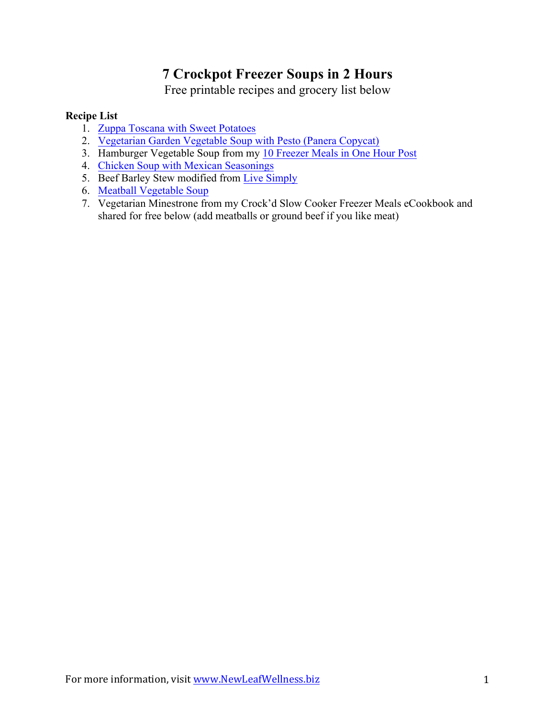# **7 Crockpot Freezer Soups in 2 Hours**

Free printable recipes and grocery list below

## **Recipe List**

- 1. [Zuppa Toscana with Sweet Potatoes](http://newleafwellness.biz/2015/11/09/slow-cooker-zuppa-toscana-with-sweet-potatoes/)
- 2. [Vegetarian Garden Vegetable Soup with Pesto \(Panera Copycat\)](http://newleafwellness.biz/2016/02/17/crockpot-vegetarian-garden-vegetable-soup-with-pesto-panera-copycat/)
- 3. Hamburger Vegetable Soup from my [10 Freezer Meals in One Hour Post](http://newleafwellness.biz/2016/02/21/10-healthy-crockpot-freezer-meals-in-1-hour/)
- 4. [Chicken Soup with Mexican Seasonings](http://newleafwellness.biz/2014/09/24/crockpot-chicken-soup-mexican-seasonings/)
- 5. Beef Barley Stew modified from [Live Simply](http://livesimply.me/2014/11/20/freezer-crockpot-beef-stew/)
- 6. [Meatball Vegetable Soup](http://newleafwellness.biz/2014/05/21/slow-cooker-meatball-veggie-soup/)
- 7. Vegetarian Minestrone from my Crock'd Slow Cooker Freezer Meals eCookbook and shared for free below (add meatballs or ground beef if you like meat)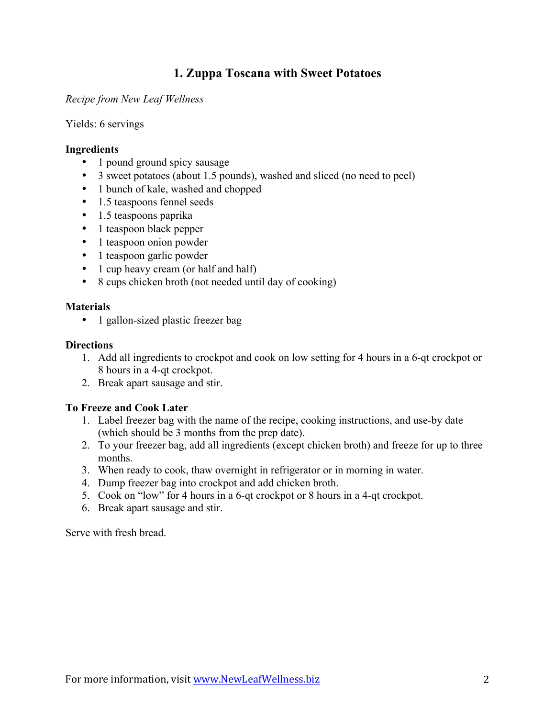## **1. Zuppa Toscana with Sweet Potatoes**

*Recipe from New Leaf Wellness*

Yields: 6 servings

### **Ingredients**

- 1 pound ground spicy sausage
- 3 sweet potatoes (about 1.5 pounds), washed and sliced (no need to peel)
- 1 bunch of kale, washed and chopped
- 1.5 teaspoons fennel seeds
- 1.5 teaspoons paprika
- 1 teaspoon black pepper
- 1 teaspoon onion powder
- 1 teaspoon garlic powder
- 1 cup heavy cream (or half and half)
- 8 cups chicken broth (not needed until day of cooking)

### **Materials**

• 1 gallon-sized plastic freezer bag

### **Directions**

- 1. Add all ingredients to crockpot and cook on low setting for 4 hours in a 6-qt crockpot or 8 hours in a 4-qt crockpot.
- 2. Break apart sausage and stir.

### **To Freeze and Cook Later**

- 1. Label freezer bag with the name of the recipe, cooking instructions, and use-by date (which should be 3 months from the prep date).
- 2. To your freezer bag, add all ingredients (except chicken broth) and freeze for up to three months.
- 3. When ready to cook, thaw overnight in refrigerator or in morning in water.
- 4. Dump freezer bag into crockpot and add chicken broth.
- 5. Cook on "low" for 4 hours in a 6-qt crockpot or 8 hours in a 4-qt crockpot.
- 6. Break apart sausage and stir.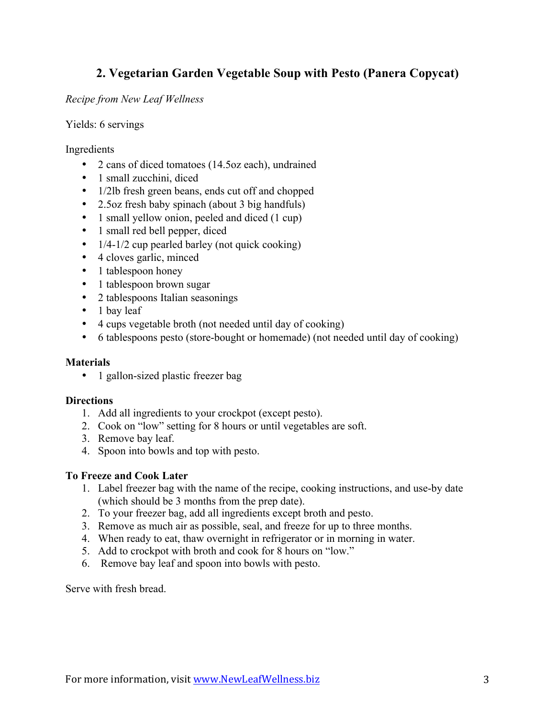## **2. Vegetarian Garden Vegetable Soup with Pesto (Panera Copycat)**

*Recipe from New Leaf Wellness*

Yields: 6 servings

Ingredients

- 2 cans of diced tomatoes (14.5oz each), undrained
- 1 small zucchini, diced
- 1/2lb fresh green beans, ends cut off and chopped
- 2.5oz fresh baby spinach (about 3 big handfuls)
- 1 small yellow onion, peeled and diced (1 cup)
- 1 small red bell pepper, diced
- $\bullet$  1/4-1/2 cup pearled barley (not quick cooking)
- 4 cloves garlic, minced
- 1 tablespoon honey
- 1 tablespoon brown sugar
- 2 tablespoons Italian seasonings
- 1 bay leaf
- 4 cups vegetable broth (not needed until day of cooking)
- 6 tablespoons pesto (store-bought or homemade) (not needed until day of cooking)

### **Materials**

• 1 gallon-sized plastic freezer bag

### **Directions**

- 1. Add all ingredients to your crockpot (except pesto).
- 2. Cook on "low" setting for 8 hours or until vegetables are soft.
- 3. Remove bay leaf.
- 4. Spoon into bowls and top with pesto.

### **To Freeze and Cook Later**

- 1. Label freezer bag with the name of the recipe, cooking instructions, and use-by date (which should be 3 months from the prep date).
- 2. To your freezer bag, add all ingredients except broth and pesto.
- 3. Remove as much air as possible, seal, and freeze for up to three months.
- 4. When ready to eat, thaw overnight in refrigerator or in morning in water.
- 5. Add to crockpot with broth and cook for 8 hours on "low."
- 6. Remove bay leaf and spoon into bowls with pesto.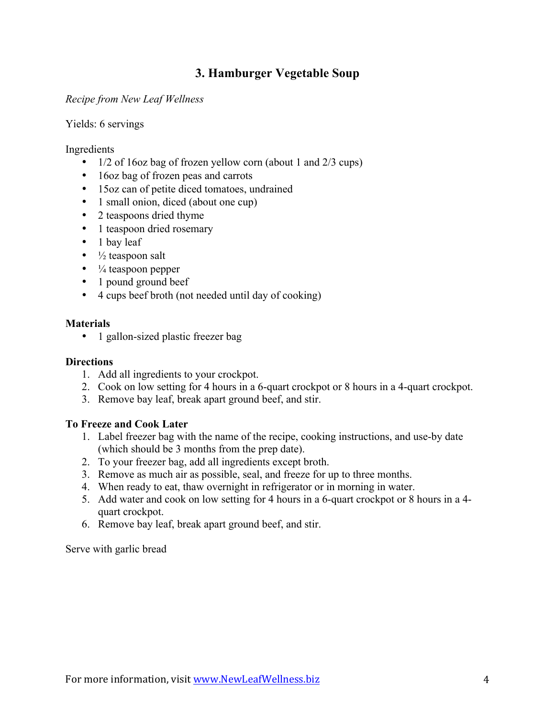## **3. Hamburger Vegetable Soup**

*Recipe from New Leaf Wellness*

Yields: 6 servings

Ingredients

- 1/2 of 16oz bag of frozen yellow corn (about 1 and 2/3 cups)
- 16oz bag of frozen peas and carrots
- 15oz can of petite diced tomatoes, undrained
- 1 small onion, diced (about one cup)
- 2 teaspoons dried thyme
- 1 teaspoon dried rosemary
- 1 bay leaf
- $\bullet$   $\frac{1}{2}$  teaspoon salt
- $\bullet$   $\frac{1}{4}$  teaspoon pepper
- 1 pound ground beef
- 4 cups beef broth (not needed until day of cooking)

### **Materials**

• 1 gallon-sized plastic freezer bag

### **Directions**

- 1. Add all ingredients to your crockpot.
- 2. Cook on low setting for 4 hours in a 6-quart crockpot or 8 hours in a 4-quart crockpot.
- 3. Remove bay leaf, break apart ground beef, and stir.

### **To Freeze and Cook Later**

- 1. Label freezer bag with the name of the recipe, cooking instructions, and use-by date (which should be 3 months from the prep date).
- 2. To your freezer bag, add all ingredients except broth.
- 3. Remove as much air as possible, seal, and freeze for up to three months.
- 4. When ready to eat, thaw overnight in refrigerator or in morning in water.
- 5. Add water and cook on low setting for 4 hours in a 6-quart crockpot or 8 hours in a 4 quart crockpot.
- 6. Remove bay leaf, break apart ground beef, and stir.

Serve with garlic bread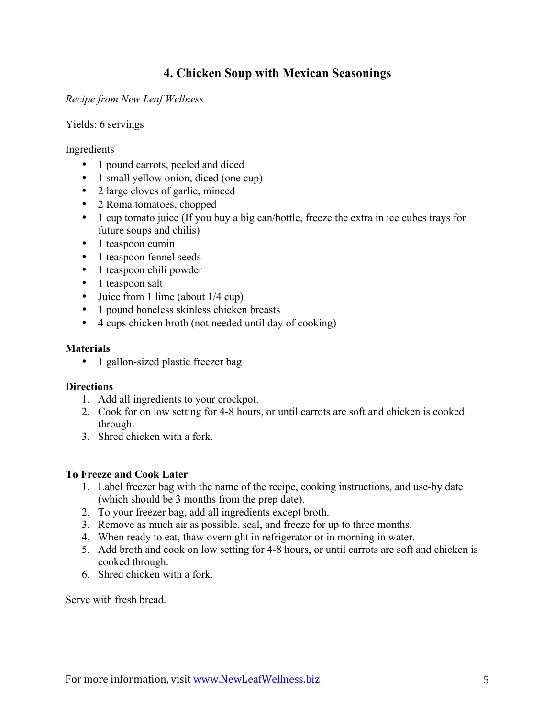## **4. Chicken Soup with Mexican Seasonings**

*Recipe from New Leaf Wellness*

Yields: 6 servings

Ingredients

- 1 pound carrots, peeled and diced
- 1 small yellow onion, diced (one cup)
- 2 large cloves of garlic, minced
- 2 Roma tomatoes, chopped
- 1 cup tomato juice (If you buy a big can/bottle, freeze the extra in ice cubes trays for future soups and chilis)
- 1 teaspoon cumin
- 1 teaspoon fennel seeds
- 1 teaspoon chili powder
- 1 teaspoon salt
- Juice from 1 lime (about  $1/4$  cup)
- 1 pound boneless skinless chicken breasts
- 4 cups chicken broth (not needed until day of cooking)

### **Materials**

• 1 gallon-sized plastic freezer bag

### **Directions**

- 1. Add all ingredients to your crockpot.
- 2. Cook for on low setting for 4-8 hours, or until carrots are soft and chicken is cooked through.
- 3. Shred chicken with a fork.

### **To Freeze and Cook Later**

- 1. Label freezer bag with the name of the recipe, cooking instructions, and use-by date (which should be 3 months from the prep date).
- 2. To your freezer bag, add all ingredients except broth.
- 3. Remove as much air as possible, seal, and freeze for up to three months.
- 4. When ready to eat, thaw overnight in refrigerator or in morning in water.
- 5. Add broth and cook on low setting for 4-8 hours, or until carrots are soft and chicken is cooked through.
- 6. Shred chicken with a fork.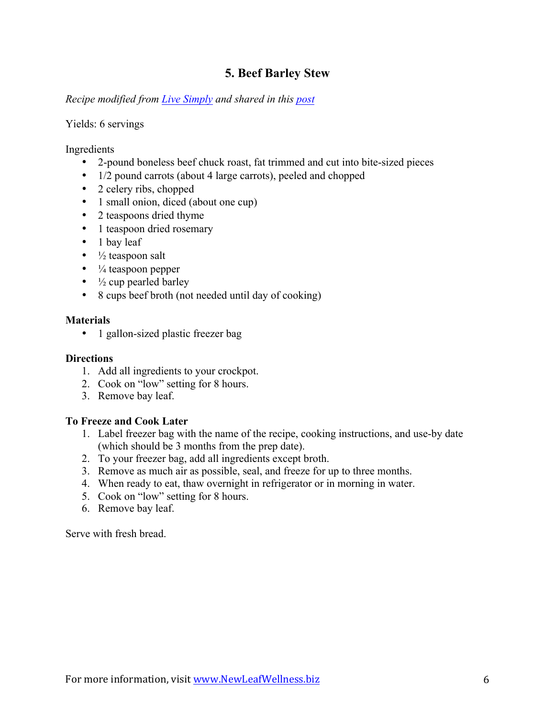## **5. Beef Barley Stew**

*Recipe modified from [Live Simply](http://livesimply.me/2014/11/20/freezer-crockpot-beef-stew/) and shared in this [post](http://newleafwellness.biz/2015/11/11/pre-baby-freezer-meals-part-one/)*

### Yields: 6 servings

Ingredients

- 2-pound boneless beef chuck roast, fat trimmed and cut into bite-sized pieces
- 1/2 pound carrots (about 4 large carrots), peeled and chopped
- 2 celery ribs, chopped
- 1 small onion, diced (about one cup)
- 2 teaspoons dried thyme
- 1 teaspoon dried rosemary
- 1 bay leaf
- $\bullet$   $\frac{1}{2}$  teaspoon salt
- $\bullet$   $\frac{1}{4}$  teaspoon pepper
- $\frac{1}{2}$  cup pearled barley
- 8 cups beef broth (not needed until day of cooking)

### **Materials**

• 1 gallon-sized plastic freezer bag

#### **Directions**

- 1. Add all ingredients to your crockpot.
- 2. Cook on "low" setting for 8 hours.
- 3. Remove bay leaf.

### **To Freeze and Cook Later**

- 1. Label freezer bag with the name of the recipe, cooking instructions, and use-by date (which should be 3 months from the prep date).
- 2. To your freezer bag, add all ingredients except broth.
- 3. Remove as much air as possible, seal, and freeze for up to three months.
- 4. When ready to eat, thaw overnight in refrigerator or in morning in water.
- 5. Cook on "low" setting for 8 hours.
- 6. Remove bay leaf.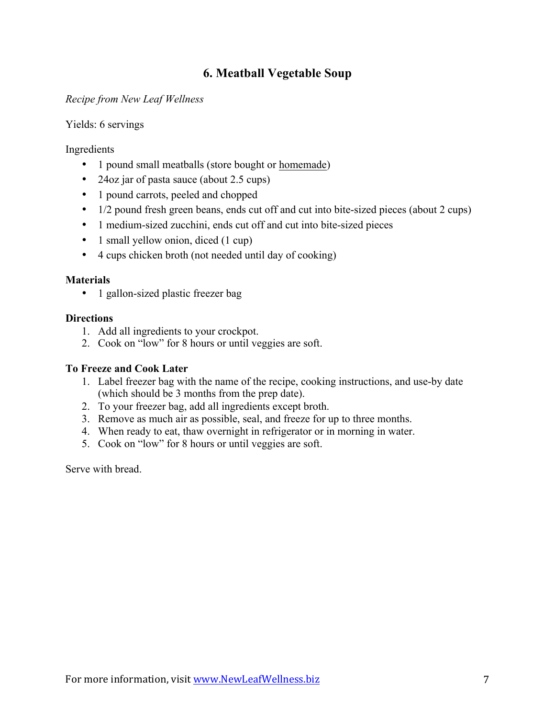## **6. Meatball Vegetable Soup**

*Recipe from New Leaf Wellness*

Yields: 6 servings

Ingredients

- 1 pound small meatballs (store bought or [homemade](http://wp.me/p3LWEC-1Hi))
- 24oz jar of pasta sauce (about 2.5 cups)
- 1 pound carrots, peeled and chopped
- 1/2 pound fresh green beans, ends cut off and cut into bite-sized pieces (about 2 cups)
- 1 medium-sized zucchini, ends cut off and cut into bite-sized pieces
- 1 small yellow onion, diced (1 cup)
- 4 cups chicken broth (not needed until day of cooking)

### **Materials**

• 1 gallon-sized plastic freezer bag

### **Directions**

- 1. Add all ingredients to your crockpot.
- 2. Cook on "low" for 8 hours or until veggies are soft.

### **To Freeze and Cook Later**

- 1. Label freezer bag with the name of the recipe, cooking instructions, and use-by date (which should be 3 months from the prep date).
- 2. To your freezer bag, add all ingredients except broth.
- 3. Remove as much air as possible, seal, and freeze for up to three months.
- 4. When ready to eat, thaw overnight in refrigerator or in morning in water.
- 5. Cook on "low" for 8 hours or until veggies are soft.

Serve with bread.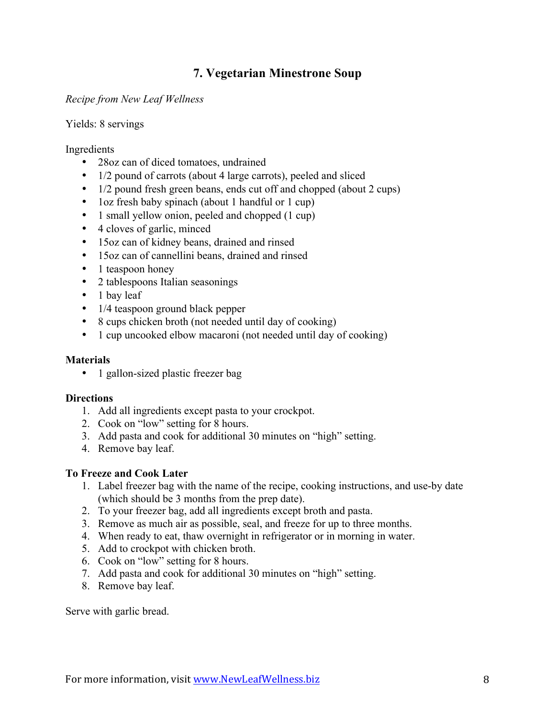## **7. Vegetarian Minestrone Soup**

### *Recipe from New Leaf Wellness*

### Yields: 8 servings

### Ingredients

- 28oz can of diced tomatoes, undrained
- 1/2 pound of carrots (about 4 large carrots), peeled and sliced
- 1/2 pound fresh green beans, ends cut off and chopped (about 2 cups)
- 1oz fresh baby spinach (about 1 handful or 1 cup)
- 1 small yellow onion, peeled and chopped (1 cup)
- 4 cloves of garlic, minced
- 15oz can of kidney beans, drained and rinsed
- 15oz can of cannellini beans, drained and rinsed
- 1 teaspoon honey
- 2 tablespoons Italian seasonings
- 1 bay leaf
- 1/4 teaspoon ground black pepper
- 8 cups chicken broth (not needed until day of cooking)
- 1 cup uncooked elbow macaroni (not needed until day of cooking)

### **Materials**

• 1 gallon-sized plastic freezer bag

### **Directions**

- 1. Add all ingredients except pasta to your crockpot.
- 2. Cook on "low" setting for 8 hours.
- 3. Add pasta and cook for additional 30 minutes on "high" setting.
- 4. Remove bay leaf.

### **To Freeze and Cook Later**

- 1. Label freezer bag with the name of the recipe, cooking instructions, and use-by date (which should be 3 months from the prep date).
- 2. To your freezer bag, add all ingredients except broth and pasta.
- 3. Remove as much air as possible, seal, and freeze for up to three months.
- 4. When ready to eat, thaw overnight in refrigerator or in morning in water.
- 5. Add to crockpot with chicken broth.
- 6. Cook on "low" setting for 8 hours.
- 7. Add pasta and cook for additional 30 minutes on "high" setting.
- 8. Remove bay leaf.

Serve with garlic bread.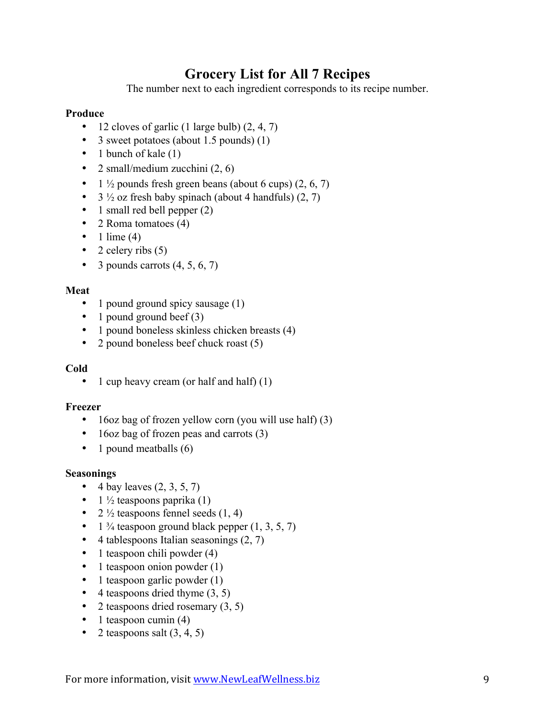# **Grocery List for All 7 Recipes**

The number next to each ingredient corresponds to its recipe number.

### **Produce**

- 12 cloves of garlic (1 large bulb)  $(2, 4, 7)$
- 3 sweet potatoes (about 1.5 pounds) (1)
- 1 bunch of kale (1)
- 2 small/medium zucchini  $(2, 6)$
- 1  $\frac{1}{2}$  pounds fresh green beans (about 6 cups) (2, 6, 7)
- $3\frac{1}{2}$  oz fresh baby spinach (about 4 handfuls) (2, 7)
- 1 small red bell pepper (2)
- 2 Roma tomatoes (4)
- $\bullet$  1 lime (4)
- 2 celery ribs  $(5)$
- 3 pounds carrots  $(4, 5, 6, 7)$

### **Meat**

- 1 pound ground spicy sausage (1)
- 1 pound ground beef (3)
- 1 pound boneless skinless chicken breasts (4)
- 2 pound boneless beef chuck roast (5)

### **Cold**

• 1 cup heavy cream (or half and half) (1)

### **Freezer**

- 16oz bag of frozen yellow corn (you will use half) (3)
- 16oz bag of frozen peas and carrots (3)
- 1 pound meatballs (6)

### **Seasonings**

- 4 bay leaves  $(2, 3, 5, 7)$
- $1\frac{1}{2}$  teaspoons paprika (1)
- 2  $\frac{1}{2}$  teaspoons fennel seeds (1, 4)
- 1  $\frac{3}{4}$  teaspoon ground black pepper  $(1, 3, 5, 7)$
- $\bullet$  4 tablespoons Italian seasonings  $(2, 7)$
- 1 teaspoon chili powder (4)
- 1 teaspoon onion powder (1)
- $\bullet$  1 teaspoon garlic powder (1)
- $\bullet$  4 teaspoons dried thyme  $(3, 5)$
- 2 teaspoons dried rosemary  $(3, 5)$
- $\bullet$  1 teaspoon cumin (4)
- 2 teaspoons salt  $(3, 4, 5)$